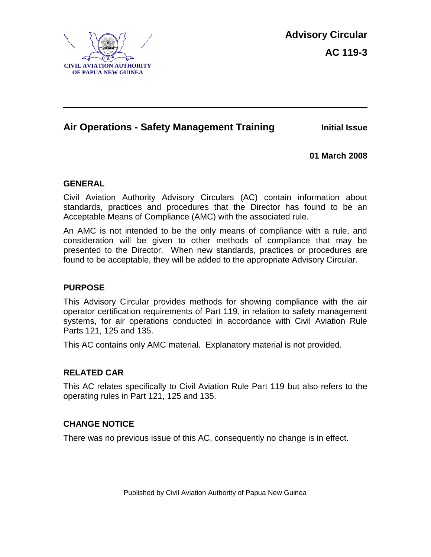

# **Air Operations - Safety Management Training Initial Issue**

**01 March 2008**

#### **GENERAL**

Civil Aviation Authority Advisory Circulars (AC) contain information about standards, practices and procedures that the Director has found to be an Acceptable Means of Compliance (AMC) with the associated rule.

An AMC is not intended to be the only means of compliance with a rule, and consideration will be given to other methods of compliance that may be presented to the Director. When new standards, practices or procedures are found to be acceptable, they will be added to the appropriate Advisory Circular.

#### **PURPOSE**

This Advisory Circular provides methods for showing compliance with the air operator certification requirements of Part 119, in relation to safety management systems, for air operations conducted in accordance with Civil Aviation Rule Parts 121, 125 and 135.

This AC contains only AMC material. Explanatory material is not provided.

#### **RELATED CAR**

This AC relates specifically to Civil Aviation Rule Part 119 but also refers to the operating rules in Part 121, 125 and 135.

#### **CHANGE NOTICE**

There was no previous issue of this AC, consequently no change is in effect.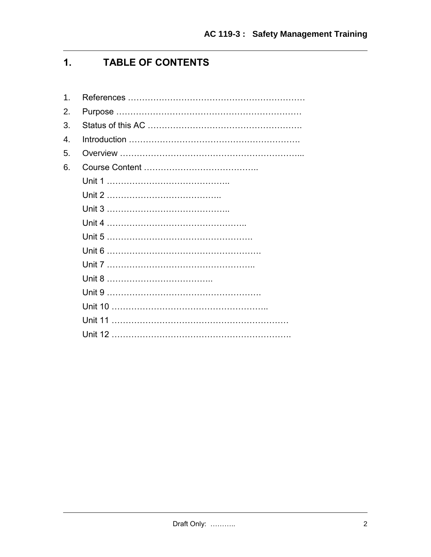# **1. TABLE OF CONTENTS**

| 1. |  |
|----|--|
| 2. |  |
| 3. |  |
| 4. |  |
| 5. |  |
| 6. |  |
|    |  |
|    |  |
|    |  |
|    |  |
|    |  |
|    |  |
|    |  |
|    |  |
|    |  |
|    |  |
|    |  |
|    |  |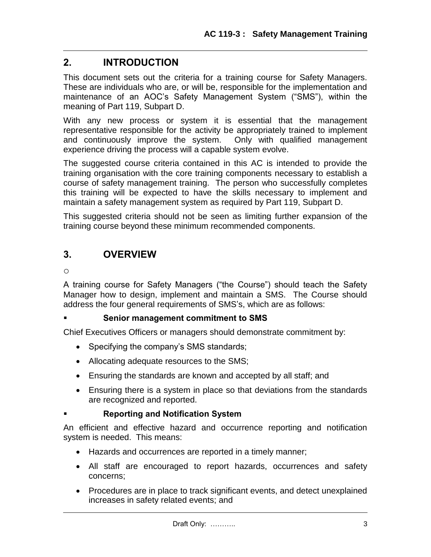# **2. INTRODUCTION**

This document sets out the criteria for a training course for Safety Managers. These are individuals who are, or will be, responsible for the implementation and maintenance of an AOC's Safety Management System ("SMS"), within the meaning of Part 119, Subpart D.

With any new process or system it is essential that the management representative responsible for the activity be appropriately trained to implement and continuously improve the system. Only with qualified management experience driving the process will a capable system evolve.

The suggested course criteria contained in this AC is intended to provide the training organisation with the core training components necessary to establish a course of safety management training. The person who successfully completes this training will be expected to have the skills necessary to implement and maintain a safety management system as required by Part 119, Subpart D.

This suggested criteria should not be seen as limiting further expansion of the training course beyond these minimum recommended components.

# **3. OVERVIEW**

o

A training course for Safety Managers ("the Course") should teach the Safety Manager how to design, implement and maintain a SMS. The Course should address the four general requirements of SMS's, which are as follows:

# **Senior management commitment to SMS**

Chief Executives Officers or managers should demonstrate commitment by:

- Specifying the company's SMS standards;
- Allocating adequate resources to the SMS;
- Ensuring the standards are known and accepted by all staff; and
- Ensuring there is a system in place so that deviations from the standards are recognized and reported.

# **Reporting and Notification System**

An efficient and effective hazard and occurrence reporting and notification system is needed. This means:

- Hazards and occurrences are reported in a timely manner;
- All staff are encouraged to report hazards, occurrences and safety concerns;
- Procedures are in place to track significant events, and detect unexplained increases in safety related events; and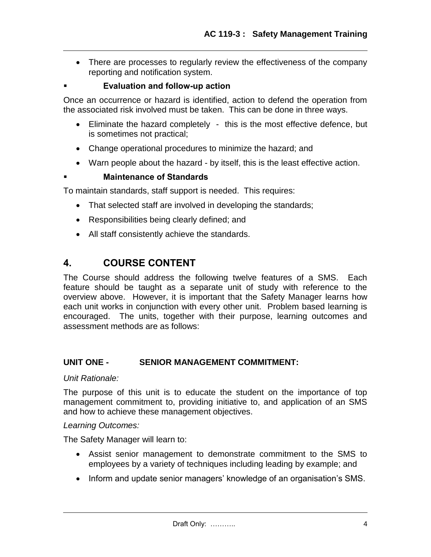• There are processes to regularly review the effectiveness of the company reporting and notification system.

# **Evaluation and follow-up action**

Once an occurrence or hazard is identified, action to defend the operation from the associated risk involved must be taken. This can be done in three ways.

- Eliminate the hazard completely this is the most effective defence, but is sometimes not practical;
- Change operational procedures to minimize the hazard; and
- Warn people about the hazard by itself, this is the least effective action.

# **Maintenance of Standards**

To maintain standards, staff support is needed. This requires:

- That selected staff are involved in developing the standards;
- Responsibilities being clearly defined; and
- All staff consistently achieve the standards.

# **4. COURSE CONTENT**

The Course should address the following twelve features of a SMS. Each feature should be taught as a separate unit of study with reference to the overview above. However, it is important that the Safety Manager learns how each unit works in conjunction with every other unit. Problem based learning is encouraged. The units, together with their purpose, learning outcomes and assessment methods are as follows:

# **UNIT ONE - SENIOR MANAGEMENT COMMITMENT:**

#### *Unit Rationale:*

The purpose of this unit is to educate the student on the importance of top management commitment to, providing initiative to, and application of an SMS and how to achieve these management objectives.

# *Learning Outcomes:*

The Safety Manager will learn to:

- Assist senior management to demonstrate commitment to the SMS to employees by a variety of techniques including leading by example; and
- Inform and update senior managers' knowledge of an organisation's SMS.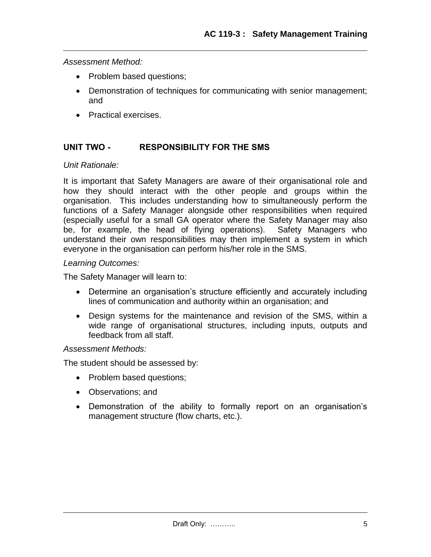*Assessment Method:*

- Problem based questions;
- Demonstration of techniques for communicating with senior management; and
- Practical exercises.

# **UNIT TWO - RESPONSIBILITY FOR THE SMS**

#### *Unit Rationale:*

It is important that Safety Managers are aware of their organisational role and how they should interact with the other people and groups within the organisation. This includes understanding how to simultaneously perform the functions of a Safety Manager alongside other responsibilities when required (especially useful for a small GA operator where the Safety Manager may also be, for example, the head of flying operations). Safety Managers who understand their own responsibilities may then implement a system in which everyone in the organisation can perform his/her role in the SMS.

#### *Learning Outcomes:*

The Safety Manager will learn to:

- Determine an organisation's structure efficiently and accurately including lines of communication and authority within an organisation; and
- Design systems for the maintenance and revision of the SMS, within a wide range of organisational structures, including inputs, outputs and feedback from all staff.

#### *Assessment Methods:*

The student should be assessed by:

- Problem based questions;
- Observations; and
- Demonstration of the ability to formally report on an organisation's management structure (flow charts, etc.).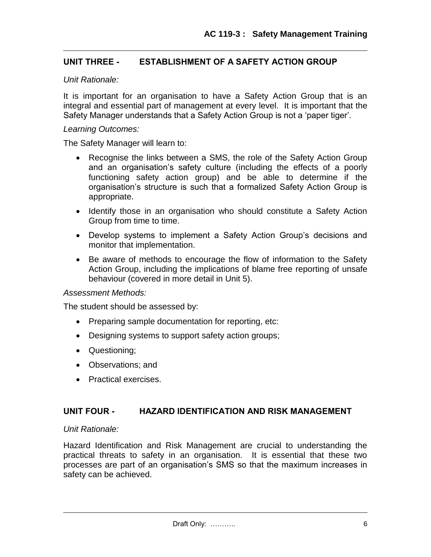# **UNIT THREE - ESTABLISHMENT OF A SAFETY ACTION GROUP**

#### *Unit Rationale:*

It is important for an organisation to have a Safety Action Group that is an integral and essential part of management at every level. It is important that the Safety Manager understands that a Safety Action Group is not a 'paper tiger'.

#### *Learning Outcomes:*

The Safety Manager will learn to:

- Recognise the links between a SMS, the role of the Safety Action Group and an organisation's safety culture (including the effects of a poorly functioning safety action group) and be able to determine if the organisation's structure is such that a formalized Safety Action Group is appropriate.
- Identify those in an organisation who should constitute a Safety Action Group from time to time.
- Develop systems to implement a Safety Action Group's decisions and monitor that implementation.
- Be aware of methods to encourage the flow of information to the Safety Action Group, including the implications of blame free reporting of unsafe behaviour (covered in more detail in Unit 5).

#### *Assessment Methods:*

The student should be assessed by:

- Preparing sample documentation for reporting, etc:
- Designing systems to support safety action groups;
- Questioning;
- Observations: and
- Practical exercises.

#### **UNIT FOUR - HAZARD IDENTIFICATION AND RISK MANAGEMENT**

#### *Unit Rationale:*

Hazard Identification and Risk Management are crucial to understanding the practical threats to safety in an organisation. It is essential that these two processes are part of an organisation's SMS so that the maximum increases in safety can be achieved.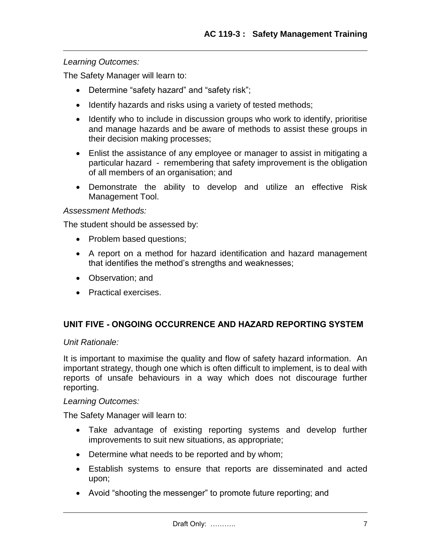### *Learning Outcomes:*

The Safety Manager will learn to:

- Determine "safety hazard" and "safety risk";
- Identify hazards and risks using a variety of tested methods;
- Identify who to include in discussion groups who work to identify, prioritise and manage hazards and be aware of methods to assist these groups in their decision making processes;
- Enlist the assistance of any employee or manager to assist in mitigating a particular hazard - remembering that safety improvement is the obligation of all members of an organisation; and
- Demonstrate the ability to develop and utilize an effective Risk Management Tool.

#### *Assessment Methods:*

The student should be assessed by:

- Problem based questions;
- A report on a method for hazard identification and hazard management that identifies the method's strengths and weaknesses;
- Observation; and
- Practical exercises.

# **UNIT FIVE - ONGOING OCCURRENCE AND HAZARD REPORTING SYSTEM**

#### *Unit Rationale:*

It is important to maximise the quality and flow of safety hazard information. An important strategy, though one which is often difficult to implement, is to deal with reports of unsafe behaviours in a way which does not discourage further reporting.

#### *Learning Outcomes:*

The Safety Manager will learn to:

- Take advantage of existing reporting systems and develop further improvements to suit new situations, as appropriate;
- Determine what needs to be reported and by whom;
- Establish systems to ensure that reports are disseminated and acted upon;
- Avoid "shooting the messenger" to promote future reporting; and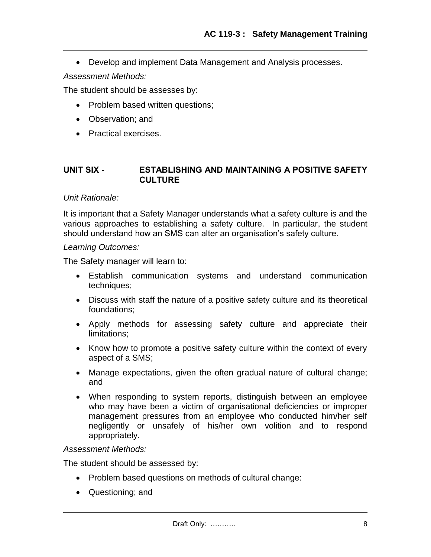Develop and implement Data Management and Analysis processes.

*A*s*sessment Methods:*

The student should be assesses by:

- Problem based written questions;
- Observation; and
- Practical exercises.

#### **UNIT SIX - ESTABLISHING AND MAINTAINING A POSITIVE SAFETY CULTURE**

#### *Unit Rationale:*

It is important that a Safety Manager understands what a safety culture is and the various approaches to establishing a safety culture. In particular, the student should understand how an SMS can alter an organisation's safety culture.

#### *Learning Outcomes:*

The Safety manager will learn to:

- Establish communication systems and understand communication techniques;
- Discuss with staff the nature of a positive safety culture and its theoretical foundations;
- Apply methods for assessing safety culture and appreciate their limitations;
- Know how to promote a positive safety culture within the context of every aspect of a SMS;
- Manage expectations, given the often gradual nature of cultural change; and
- When responding to system reports, distinguish between an employee who may have been a victim of organisational deficiencies or improper management pressures from an employee who conducted him/her self negligently or unsafely of his/her own volition and to respond appropriately.

#### *Assessment Methods:*

The student should be assessed by:

- Problem based questions on methods of cultural change:
- Questioning; and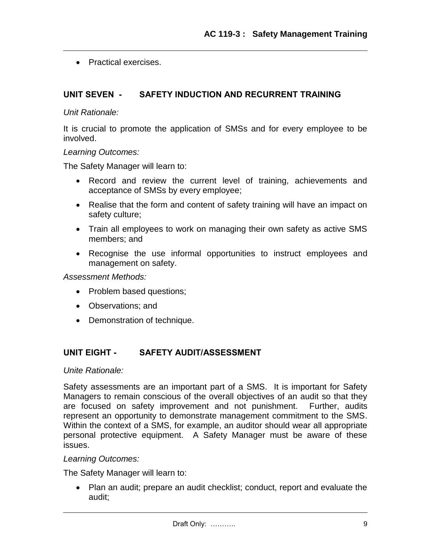• Practical exercises.

#### **UNIT SEVEN - SAFETY INDUCTION AND RECURRENT TRAINING**

#### *Unit Rationale:*

It is crucial to promote the application of SMSs and for every employee to be involved.

#### *Learning Outcomes:*

The Safety Manager will learn to:

- Record and review the current level of training, achievements and acceptance of SMSs by every employee;
- Realise that the form and content of safety training will have an impact on safety culture;
- Train all employees to work on managing their own safety as active SMS members; and
- Recognise the use informal opportunities to instruct employees and management on safety.

*Assessment Methods:*

- Problem based questions;
- Observations; and
- Demonstration of technique.

#### **UNIT EIGHT - SAFETY AUDIT/ASSESSMENT**

#### *Unite Rationale:*

Safety assessments are an important part of a SMS. It is important for Safety Managers to remain conscious of the overall objectives of an audit so that they are focused on safety improvement and not punishment. Further, audits represent an opportunity to demonstrate management commitment to the SMS. Within the context of a SMS, for example, an auditor should wear all appropriate personal protective equipment. A Safety Manager must be aware of these issues.

#### *Learning Outcomes:*

The Safety Manager will learn to:

 Plan an audit; prepare an audit checklist; conduct, report and evaluate the audit;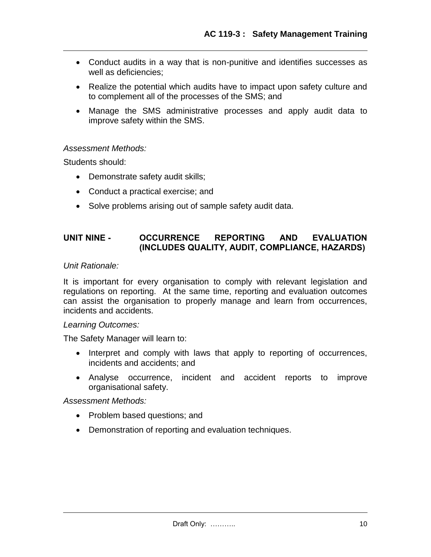- Conduct audits in a way that is non-punitive and identifies successes as well as deficiencies:
- Realize the potential which audits have to impact upon safety culture and to complement all of the processes of the SMS; and
- Manage the SMS administrative processes and apply audit data to improve safety within the SMS.

#### *Assessment Methods:*

Students should:

- Demonstrate safety audit skills;
- Conduct a practical exercise; and
- Solve problems arising out of sample safety audit data.

### **UNIT NINE - OCCURRENCE REPORTING AND EVALUATION (INCLUDES QUALITY, AUDIT, COMPLIANCE, HAZARDS)**

*Unit Rationale:*

It is important for every organisation to comply with relevant legislation and regulations on reporting. At the same time, reporting and evaluation outcomes can assist the organisation to properly manage and learn from occurrences, incidents and accidents.

#### *Learning Outcomes:*

The Safety Manager will learn to:

- Interpret and comply with laws that apply to reporting of occurrences, incidents and accidents; and
- Analyse occurrence, incident and accident reports to improve organisational safety.

#### *Assessment Methods:*

- Problem based questions; and
- Demonstration of reporting and evaluation techniques.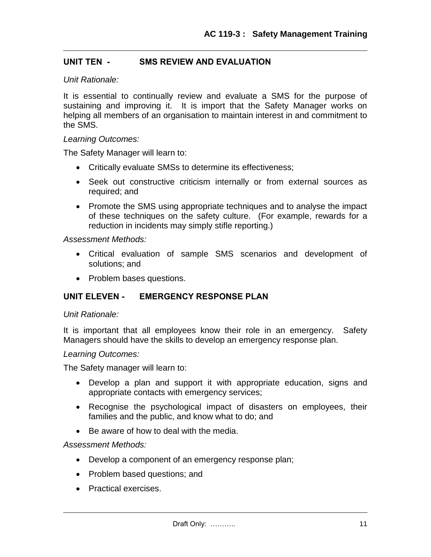#### **UNIT TEN - SMS REVIEW AND EVALUATION**

#### *Unit Rationale:*

It is essential to continually review and evaluate a SMS for the purpose of sustaining and improving it. It is import that the Safety Manager works on helping all members of an organisation to maintain interest in and commitment to the SMS.

#### *Learning Outcomes:*

The Safety Manager will learn to:

- Critically evaluate SMSs to determine its effectiveness;
- Seek out constructive criticism internally or from external sources as required; and
- Promote the SMS using appropriate techniques and to analyse the impact of these techniques on the safety culture. (For example, rewards for a reduction in incidents may simply stifle reporting.)

*Assessment Methods:*

- Critical evaluation of sample SMS scenarios and development of solutions; and
- Problem bases questions.

#### **UNIT ELEVEN - EMERGENCY RESPONSE PLAN**

#### *Unit Rationale:*

It is important that all employees know their role in an emergency. Safety Managers should have the skills to develop an emergency response plan.

#### *Learning Outcomes:*

The Safety manager will learn to:

- Develop a plan and support it with appropriate education, signs and appropriate contacts with emergency services;
- Recognise the psychological impact of disasters on employees, their families and the public, and know what to do; and
- Be aware of how to deal with the media.

#### *Assessment Methods:*

- Develop a component of an emergency response plan;
- Problem based questions; and
- Practical exercises.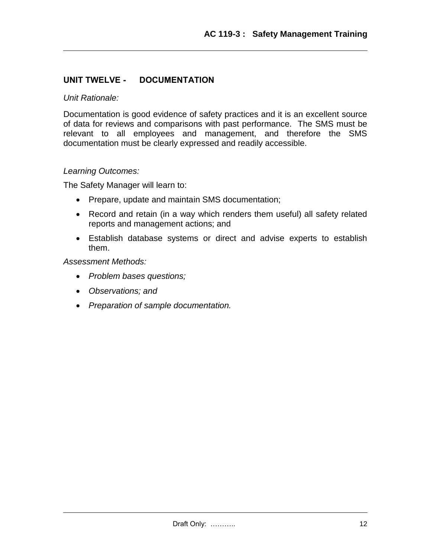# **UNIT TWELVE - DOCUMENTATION**

#### *Unit Rationale:*

Documentation is good evidence of safety practices and it is an excellent source of data for reviews and comparisons with past performance. The SMS must be relevant to all employees and management, and therefore the SMS documentation must be clearly expressed and readily accessible.

#### *Learning Outcomes:*

The Safety Manager will learn to:

- Prepare, update and maintain SMS documentation;
- Record and retain (in a way which renders them useful) all safety related reports and management actions; and
- Establish database systems or direct and advise experts to establish them.

#### *Assessment Methods:*

- *Problem bases questions;*
- *Observations; and*
- *Preparation of sample documentation.*